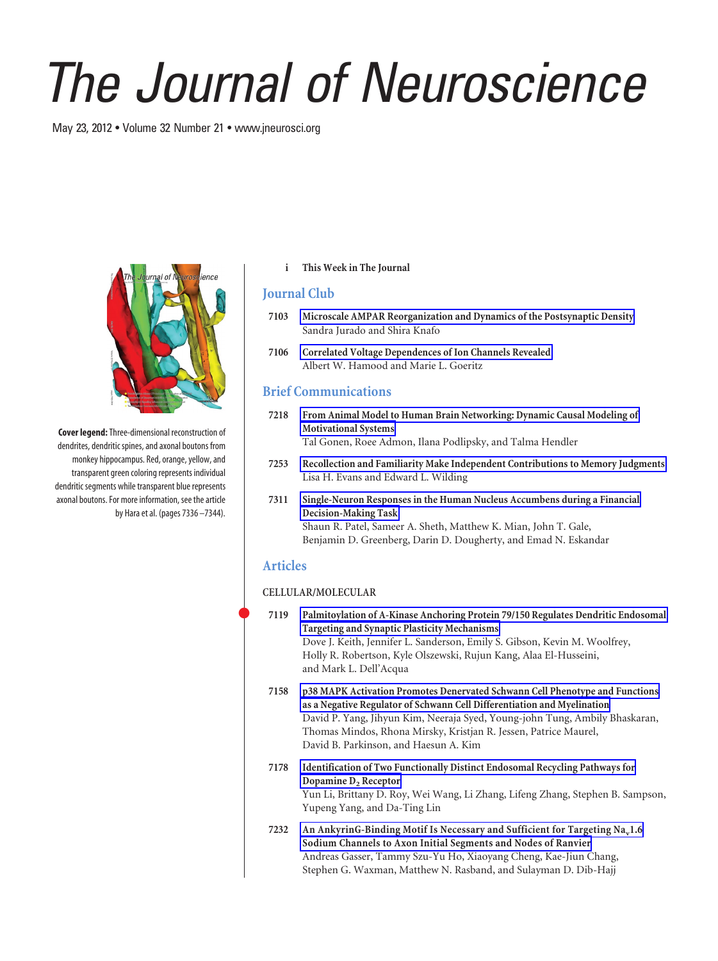# *The Journal of Neuroscience*

May 23, 2012 • Volume 32 Number 21 • www.jneurosci.org



**Cover legend:**Three-dimensional reconstruction of dendrites, dendritic spines, and axonal boutons from monkey hippocampus. Red, orange, yellow, and transparent green coloring represents individual dendritic segments while transparent blue represents axonal boutons. For more information, see the article by Hara et al. (pages 7336 –7344).

### **i This Week in The Journal**

## **Journal Club**

- **7103 Microscale AMPAR Reorganization and Dynamics of the Postsynaptic Density** Sandra Jurado and Shira Knafo
- **7106 Correlated Voltage Dependences of Ion Channels Revealed** Albert W. Hamood and Marie L. Goeritz

# **Brief Communications**

- **7218 From Animal Model to Human Brain Networking: Dynamic Causal Modeling of Motivational Systems** Tal Gonen, Roee Admon, Ilana Podlipsky, and Talma Hendler
- **7253 Recollection and Familiarity Make Independent Contributions to Memory Judgments** Lisa H. Evans and Edward L. Wilding
- **7311 Single-Neuron Responses in the Human Nucleus Accumbens during a Financial Decision-Making Task** Shaun R. Patel, Sameer A. Sheth, Matthew K. Mian, John T. Gale, Benjamin D. Greenberg, Darin D. Dougherty, and Emad N. Eskandar

## **Articles**

### **CELLULAR/MOLECULAR**

- **7119 Palmitoylation of A-Kinase Anchoring Protein 79/150 Regulates Dendritic Endosomal Targeting and Synaptic Plasticity Mechanisms** Dove J. Keith, Jennifer L. Sanderson, Emily S. Gibson, Kevin M. Woolfrey, Holly R. Robertson, Kyle Olszewski, Rujun Kang, Alaa El-Husseini, and Mark L. Dell'Acqua **7158 p38 MAPK Activation Promotes Denervated Schwann Cell Phenotype and Functions as a Negative Regulator of Schwann Cell Differentiation and Myelination** David P. Yang, Jihyun Kim, Neeraja Syed, Young-john Tung, Ambily Bhaskaran, Thomas Mindos, Rhona Mirsky, Kristjan R. Jessen, Patrice Maurel, David B. Parkinson, and Haesun A. Kim **7178 Identification of Two Functionally Distinct Endosomal Recycling Pathways for Dopamine D<sub>2</sub> Receptor** Yun Li, Brittany D. Roy, Wei Wang, Li Zhang, Lifeng Zhang, Stephen B. Sampson, Yupeng Yang, and Da-Ting Lin
	- **7232** An AnkyrinG-Binding Motif Is Necessary and Sufficient for Targeting Na<sub>v</sub>1.6 **Sodium Channels to Axon Initial Segments and Nodes of Ranvier** Andreas Gasser, Tammy Szu-Yu Ho, Xiaoyang Cheng, Kae-Jiun Chang, Stephen G. Waxman, Matthew N. Rasband, and Sulayman D. Dib-Hajj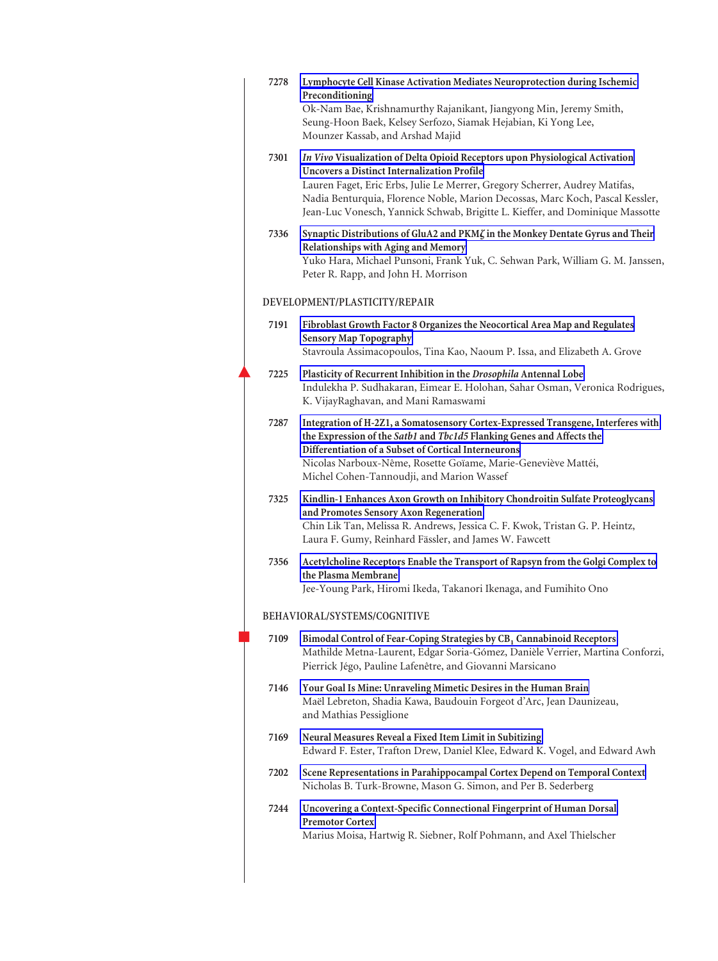|                              | 7278 | Lymphocyte Cell Kinase Activation Mediates Neuroprotection during Ischemic<br>Preconditioning<br>Ok-Nam Bae, Krishnamurthy Rajanikant, Jiangyong Min, Jeremy Smith,<br>Seung-Hoon Baek, Kelsey Serfozo, Siamak Hejabian, Ki Yong Lee,<br>Mounzer Kassab, and Arshad Majid                                                                                                            |  |  |
|------------------------------|------|--------------------------------------------------------------------------------------------------------------------------------------------------------------------------------------------------------------------------------------------------------------------------------------------------------------------------------------------------------------------------------------|--|--|
|                              | 7301 | In Vivo Visualization of Delta Opioid Receptors upon Physiological Activation<br><b>Uncovers a Distinct Internalization Profile</b><br>Lauren Faget, Eric Erbs, Julie Le Merrer, Gregory Scherrer, Audrey Matifas,<br>Nadia Benturquia, Florence Noble, Marion Decossas, Marc Koch, Pascal Kessler,<br>Jean-Luc Vonesch, Yannick Schwab, Brigitte L. Kieffer, and Dominique Massotte |  |  |
|                              | 7336 | Synaptic Distributions of GluA2 and PKM $\zeta$ in the Monkey Dentate Gyrus and Their<br>Relationships with Aging and Memory<br>Yuko Hara, Michael Punsoni, Frank Yuk, C. Sehwan Park, William G. M. Janssen,<br>Peter R. Rapp, and John H. Morrison                                                                                                                                 |  |  |
|                              |      | DEVELOPMENT/PLASTICITY/REPAIR                                                                                                                                                                                                                                                                                                                                                        |  |  |
|                              | 7191 | Fibroblast Growth Factor 8 Organizes the Neocortical Area Map and Regulates<br><b>Sensory Map Topography</b>                                                                                                                                                                                                                                                                         |  |  |
|                              |      | Stavroula Assimacopoulos, Tina Kao, Naoum P. Issa, and Elizabeth A. Grove                                                                                                                                                                                                                                                                                                            |  |  |
|                              | 7225 | Plasticity of Recurrent Inhibition in the Drosophila Antennal Lobe<br>Indulekha P. Sudhakaran, Eimear E. Holohan, Sahar Osman, Veronica Rodrigues,<br>K. VijayRaghavan, and Mani Ramaswami                                                                                                                                                                                           |  |  |
|                              | 7287 | Integration of H-2Z1, a Somatosensory Cortex-Expressed Transgene, Interferes with<br>the Expression of the Satb1 and Tbc1d5 Flanking Genes and Affects the<br>Differentiation of a Subset of Cortical Interneurons<br>Nicolas Narboux-Nême, Rosette Goïame, Marie-Geneviève Mattéi,<br>Michel Cohen-Tannoudji, and Marion Wassef                                                     |  |  |
|                              | 7325 | Kindlin-1 Enhances Axon Growth on Inhibitory Chondroitin Sulfate Proteoglycans<br>and Promotes Sensory Axon Regeneration<br>Chin Lik Tan, Melissa R. Andrews, Jessica C. F. Kwok, Tristan G. P. Heintz,<br>Laura F. Gumy, Reinhard Fässler, and James W. Fawcett                                                                                                                     |  |  |
|                              | 7356 | Acetylcholine Receptors Enable the Transport of Rapsyn from the Golgi Complex to<br>the Plasma Membrane<br>Jee-Young Park, Hiromi Ikeda, Takanori Ikenaga, and Fumihito Ono                                                                                                                                                                                                          |  |  |
| BEHAVIORAL/SYSTEMS/COGNITIVE |      |                                                                                                                                                                                                                                                                                                                                                                                      |  |  |
|                              | 7109 | Bimodal Control of Fear-Coping Strategies by CB <sub>1</sub> Cannabinoid Receptors<br>Mathilde Metna-Laurent, Edgar Soria-Gómez, Danièle Verrier, Martina Conforzi,<br>Pierrick Jégo, Pauline Lafenêtre, and Giovanni Marsicano                                                                                                                                                      |  |  |
|                              | 7146 | Your Goal Is Mine: Unraveling Mimetic Desires in the Human Brain<br>Maël Lebreton, Shadia Kawa, Baudouin Forgeot d'Arc, Jean Daunizeau,<br>and Mathias Pessiglione                                                                                                                                                                                                                   |  |  |
|                              | 7169 | Neural Measures Reveal a Fixed Item Limit in Subitizing<br>Edward F. Ester, Trafton Drew, Daniel Klee, Edward K. Vogel, and Edward Awh                                                                                                                                                                                                                                               |  |  |
|                              | 7202 | Scene Representations in Parahippocampal Cortex Depend on Temporal Context<br>Nicholas B. Turk-Browne, Mason G. Simon, and Per B. Sederberg                                                                                                                                                                                                                                          |  |  |
|                              | 7244 | Uncovering a Context-Specific Connectional Fingerprint of Human Dorsal<br><b>Premotor Cortex</b><br>Marius Moisa, Hartwig R. Siebner, Rolf Pohmann, and Axel Thielscher                                                                                                                                                                                                              |  |  |
|                              |      |                                                                                                                                                                                                                                                                                                                                                                                      |  |  |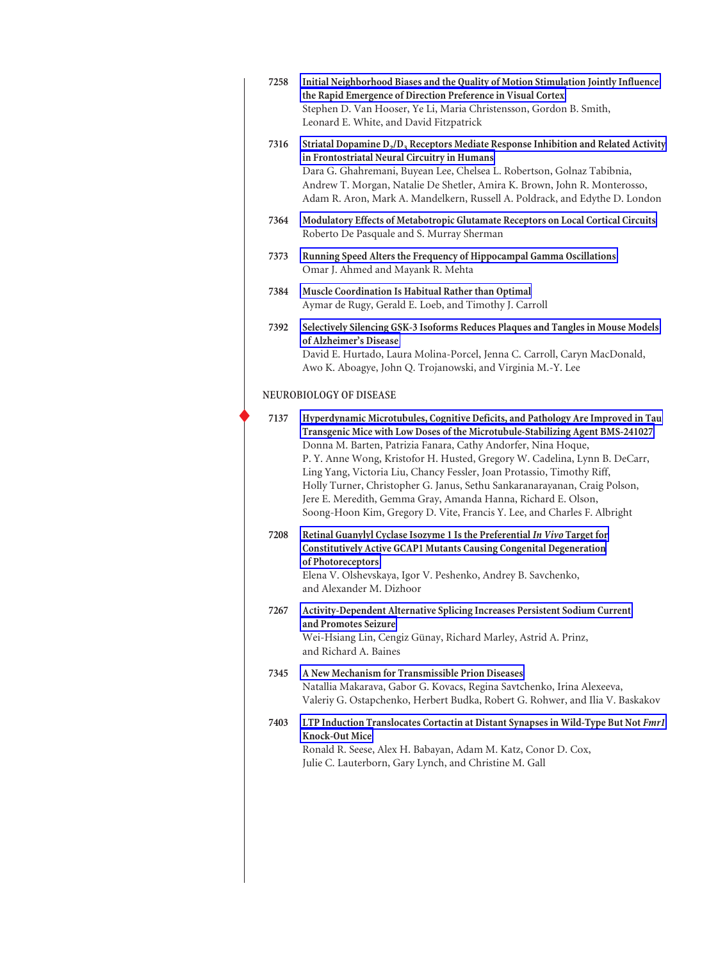| 7258                    | Initial Neighborhood Biases and the Quality of Motion Stimulation Jointly Influence<br>the Rapid Emergence of Direction Preference in Visual Cortex<br>Stephen D. Van Hooser, Ye Li, Maria Christensson, Gordon B. Smith,<br>Leonard E. White, and David Fitzpatrick                                                                                                                                                                                                                                                                                                                                                  |  |
|-------------------------|-----------------------------------------------------------------------------------------------------------------------------------------------------------------------------------------------------------------------------------------------------------------------------------------------------------------------------------------------------------------------------------------------------------------------------------------------------------------------------------------------------------------------------------------------------------------------------------------------------------------------|--|
| 7316                    | Striatal Dopamine $D_2/D_3$ Receptors Mediate Response Inhibition and Related Activity<br>in Frontostriatal Neural Circuitry in Humans<br>Dara G. Ghahremani, Buyean Lee, Chelsea L. Robertson, Golnaz Tabibnia,<br>Andrew T. Morgan, Natalie De Shetler, Amira K. Brown, John R. Monterosso,<br>Adam R. Aron, Mark A. Mandelkern, Russell A. Poldrack, and Edythe D. London                                                                                                                                                                                                                                          |  |
| 7364                    | Modulatory Effects of Metabotropic Glutamate Receptors on Local Cortical Circuits<br>Roberto De Pasquale and S. Murray Sherman                                                                                                                                                                                                                                                                                                                                                                                                                                                                                        |  |
| 7373                    | Running Speed Alters the Frequency of Hippocampal Gamma Oscillations<br>Omar J. Ahmed and Mayank R. Mehta                                                                                                                                                                                                                                                                                                                                                                                                                                                                                                             |  |
| 7384                    | Muscle Coordination Is Habitual Rather than Optimal<br>Aymar de Rugy, Gerald E. Loeb, and Timothy J. Carroll                                                                                                                                                                                                                                                                                                                                                                                                                                                                                                          |  |
| 7392                    | Selectively Silencing GSK-3 Isoforms Reduces Plaques and Tangles in Mouse Models<br>of Alzheimer's Disease<br>David E. Hurtado, Laura Molina-Porcel, Jenna C. Carroll, Caryn MacDonald,<br>Awo K. Aboagye, John Q. Trojanowski, and Virginia M.-Y. Lee                                                                                                                                                                                                                                                                                                                                                                |  |
| NEUROBIOLOGY OF DISEASE |                                                                                                                                                                                                                                                                                                                                                                                                                                                                                                                                                                                                                       |  |
| 7137                    | Hyperdynamic Microtubules, Cognitive Deficits, and Pathology Are Improved in Tau<br>Transgenic Mice with Low Doses of the Microtubule-Stabilizing Agent BMS-241027<br>Donna M. Barten, Patrizia Fanara, Cathy Andorfer, Nina Hoque,<br>P. Y. Anne Wong, Kristofor H. Husted, Gregory W. Cadelina, Lynn B. DeCarr,<br>Ling Yang, Victoria Liu, Chancy Fessler, Joan Protassio, Timothy Riff,<br>Holly Turner, Christopher G. Janus, Sethu Sankaranarayanan, Craig Polson,<br>Jere E. Meredith, Gemma Gray, Amanda Hanna, Richard E. Olson,<br>Soong-Hoon Kim, Gregory D. Vite, Francis Y. Lee, and Charles F. Albright |  |
| 7208                    | Retinal Guanylyl Cyclase Isozyme 1 Is the Preferential In Vivo Target for<br><b>Constitutively Active GCAP1 Mutants Causing Congenital Degeneration</b><br>of Photoreceptors<br>Elena V. Olshevskaya, Igor V. Peshenko, Andrey B. Savchenko,<br>and Alexander M. Dizhoor                                                                                                                                                                                                                                                                                                                                              |  |
| 7267                    | Activity-Dependent Alternative Splicing Increases Persistent Sodium Current<br>and Promotes Seizure<br>Wei-Hsiang Lin, Cengiz Günay, Richard Marley, Astrid A. Prinz,<br>and Richard A. Baines                                                                                                                                                                                                                                                                                                                                                                                                                        |  |
| 7345                    | A New Mechanism for Transmissible Prion Diseases<br>Natallia Makarava, Gabor G. Kovacs, Regina Savtchenko, Irina Alexeeva,<br>Valeriy G. Ostapchenko, Herbert Budka, Robert G. Rohwer, and Ilia V. Baskakov                                                                                                                                                                                                                                                                                                                                                                                                           |  |
| 7403                    | LTP Induction Translocates Cortactin at Distant Synapses in Wild-Type But Not Fmr1<br>Knock-Out Mice<br>Ronald R. Seese, Alex H. Babayan, Adam M. Katz, Conor D. Cox,<br>Julie C. Lauterborn, Gary Lynch, and Christine M. Gall                                                                                                                                                                                                                                                                                                                                                                                       |  |
|                         |                                                                                                                                                                                                                                                                                                                                                                                                                                                                                                                                                                                                                       |  |